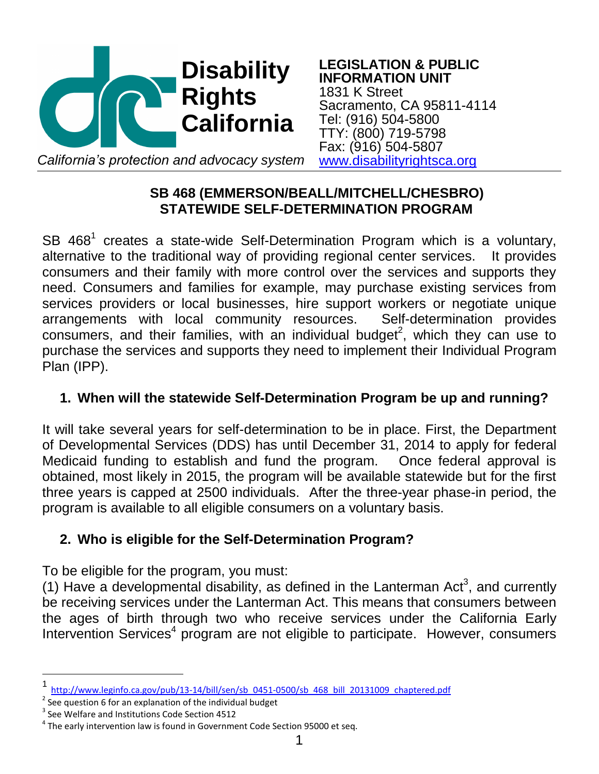

**LEGISLATION & PUBLIC INFORMATION UNIT** 1831 K Street Sacramento, CA 95811-4114 Tel: (916) 504-5800 TTY: (800) 719-5798 Fax: (916) 504-5807 *California's protection and advocacy system* [www.disabilityrightsca.org](http://www.disabilityrightsca.org/)

# **SB 468 (EMMERSON/BEALL/MITCHELL/CHESBRO) STATEWIDE SELF-DETERMINATION PROGRAM**

SB  $468<sup>1</sup>$  creates a state-wide Self-Determination Program which is a voluntary, alternative to the traditional way of providing regional center services. It provides consumers and their family with more control over the services and supports they need. Consumers and families for example, may purchase existing services from services providers or local businesses, hire support workers or negotiate unique arrangements with local community resources. Self-determination provides consumers, and their families, with an individual budget<sup>2</sup>, which they can use to purchase the services and supports they need to implement their Individual Program Plan (IPP).

# **1. When will the statewide Self-Determination Program be up and running?**

It will take several years for self-determination to be in place. First, the Department of Developmental Services (DDS) has until December 31, 2014 to apply for federal Medicaid funding to establish and fund the program. Once federal approval is obtained, most likely in 2015, the program will be available statewide but for the first three years is capped at 2500 individuals. After the three-year phase-in period, the program is available to all eligible consumers on a voluntary basis.

# **2. Who is eligible for the Self-Determination Program?**

To be eligible for the program, you must:

(1) Have a developmental disability, as defined in the Lanterman Act<sup>3</sup>, and currently be receiving services under the Lanterman Act. This means that consumers between the ages of birth through two who receive services under the California Early Intervention Services<sup>4</sup> program are not eligible to participate. However, consumers

l

<sup>1</sup> [http://www.leginfo.ca.gov/pub/13-14/bill/sen/sb\\_0451-0500/sb\\_468\\_bill\\_20131009\\_chaptered.pdf](http://www.leginfo.ca.gov/pub/13-14/bill/sen/sb_0451-0500/sb_468_bill_20131009_chaptered.pdf)

 $2$  See question 6 for an explanation of the individual budget

 $3$  See Welfare and Institutions Code Section 4512

 $^4$  The early intervention law is found in Government Code Section 95000 et seq.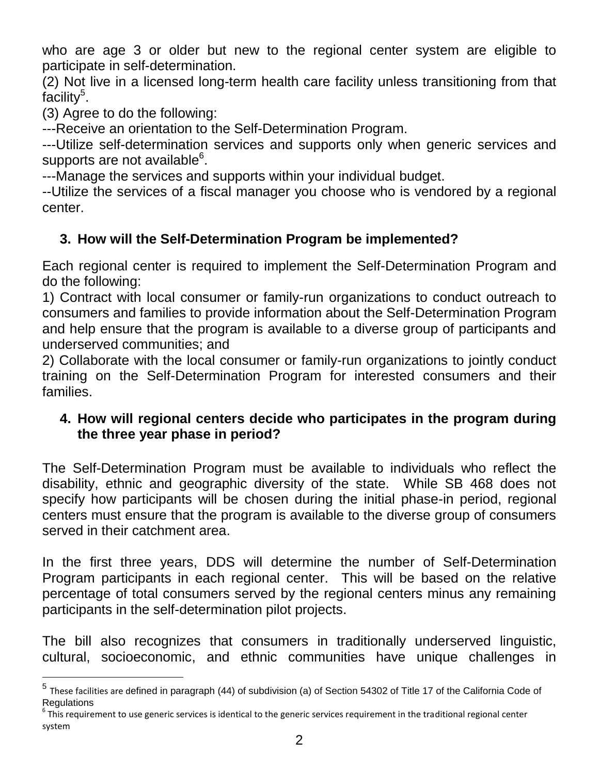who are age 3 or older but new to the regional center system are eligible to participate in self-determination.

(2) Not live in a licensed long-term health care facility unless transitioning from that facility<sup>5</sup>.

(3) Agree to do the following:

---Receive an orientation to the Self-Determination Program.

---Utilize self-determination services and supports only when generic services and supports are not available $^6$ .

---Manage the services and supports within your individual budget.

--Utilize the services of a fiscal manager you choose who is vendored by a regional center.

# **3. How will the Self-Determination Program be implemented?**

Each regional center is required to implement the Self-Determination Program and do the following:

1) Contract with local consumer or family-run organizations to conduct outreach to consumers and families to provide information about the Self-Determination Program and help ensure that the program is available to a diverse group of participants and underserved communities; and

2) Collaborate with the local consumer or family-run organizations to jointly conduct training on the Self-Determination Program for interested consumers and their families.

# **4. How will regional centers decide who participates in the program during the three year phase in period?**

The Self-Determination Program must be available to individuals who reflect the disability, ethnic and geographic diversity of the state. While SB 468 does not specify how participants will be chosen during the initial phase-in period, regional centers must ensure that the program is available to the diverse group of consumers served in their catchment area.

In the first three years, DDS will determine the number of Self-Determination Program participants in each regional center. This will be based on the relative percentage of total consumers served by the regional centers minus any remaining participants in the self-determination pilot projects.

The bill also recognizes that consumers in traditionally underserved linguistic, cultural, socioeconomic, and ethnic communities have unique challenges in

<sup>&</sup>lt;sup>5</sup> These facilities are defined in paragraph (44) of subdivision (a) of Section 54302 of Title 17 of the California Code of **Regulations** 

 $^6$  This requirement to use generic services is identical to the generic services requirement in the traditional regional center system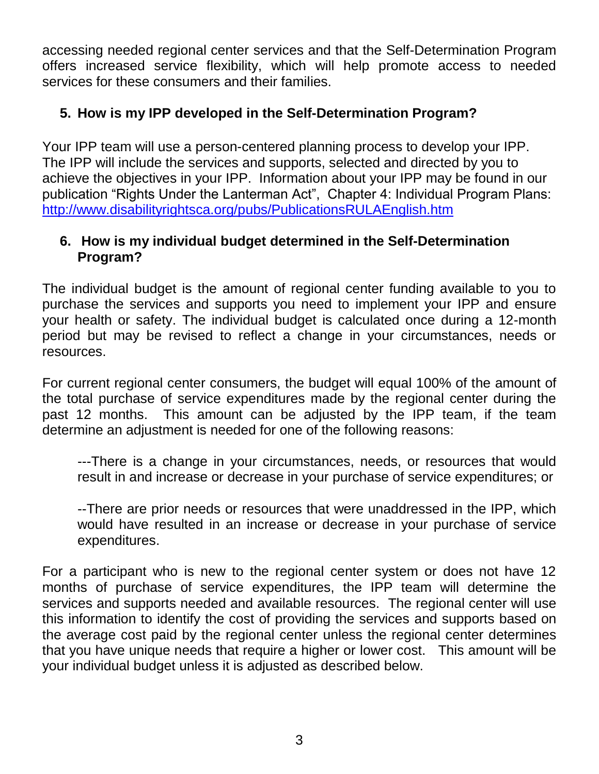accessing needed regional center services and that the Self-Determination Program offers increased service flexibility, which will help promote access to needed services for these consumers and their families.

# **5. How is my IPP developed in the Self-Determination Program?**

Your IPP team will use a person-centered planning process to develop your IPP. The IPP will include the services and supports, selected and directed by you to achieve the objectives in your IPP. Information about your IPP may be found in our publication "Rights Under the Lanterman Act", Chapter 4: Individual Program Plans: <http://www.disabilityrightsca.org/pubs/PublicationsRULAEnglish.htm>

### **6. How is my individual budget determined in the Self-Determination Program?**

The individual budget is the amount of regional center funding available to you to purchase the services and supports you need to implement your IPP and ensure your health or safety. The individual budget is calculated once during a 12-month period but may be revised to reflect a change in your circumstances, needs or resources.

For current regional center consumers, the budget will equal 100% of the amount of the total purchase of service expenditures made by the regional center during the past 12 months. This amount can be adjusted by the IPP team, if the team determine an adjustment is needed for one of the following reasons:

---There is a change in your circumstances, needs, or resources that would result in and increase or decrease in your purchase of service expenditures; or

--There are prior needs or resources that were unaddressed in the IPP, which would have resulted in an increase or decrease in your purchase of service expenditures.

For a participant who is new to the regional center system or does not have 12 months of purchase of service expenditures, the IPP team will determine the services and supports needed and available resources. The regional center will use this information to identify the cost of providing the services and supports based on the average cost paid by the regional center unless the regional center determines that you have unique needs that require a higher or lower cost. This amount will be your individual budget unless it is adjusted as described below.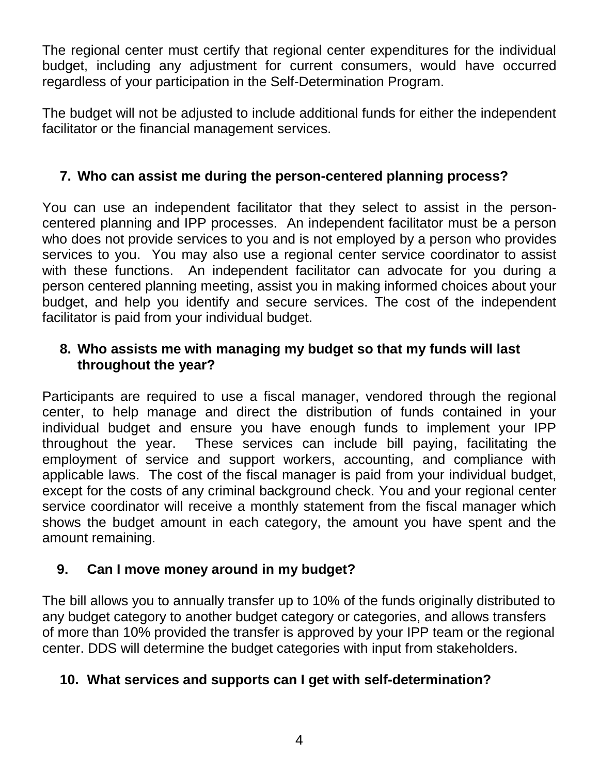The regional center must certify that regional center expenditures for the individual budget, including any adjustment for current consumers, would have occurred regardless of your participation in the Self-Determination Program.

The budget will not be adjusted to include additional funds for either the independent facilitator or the financial management services.

# **7. Who can assist me during the person-centered planning process?**

You can use an independent facilitator that they select to assist in the personcentered planning and IPP processes. An independent facilitator must be a person who does not provide services to you and is not employed by a person who provides services to you. You may also use a regional center service coordinator to assist with these functions. An independent facilitator can advocate for you during a person centered planning meeting, assist you in making informed choices about your budget, and help you identify and secure services. The cost of the independent facilitator is paid from your individual budget.

### **8. Who assists me with managing my budget so that my funds will last throughout the year?**

Participants are required to use a fiscal manager, vendored through the regional center, to help manage and direct the distribution of funds contained in your individual budget and ensure you have enough funds to implement your IPP throughout the year. These services can include bill paying, facilitating the employment of service and support workers, accounting, and compliance with applicable laws. The cost of the fiscal manager is paid from your individual budget, except for the costs of any criminal background check. You and your regional center service coordinator will receive a monthly statement from the fiscal manager which shows the budget amount in each category, the amount you have spent and the amount remaining.

# **9. Can I move money around in my budget?**

The bill allows you to annually transfer up to 10% of the funds originally distributed to any budget category to another budget category or categories, and allows transfers of more than 10% provided the transfer is approved by your IPP team or the regional center. DDS will determine the budget categories with input from stakeholders.

#### **10. What services and supports can I get with self-determination?**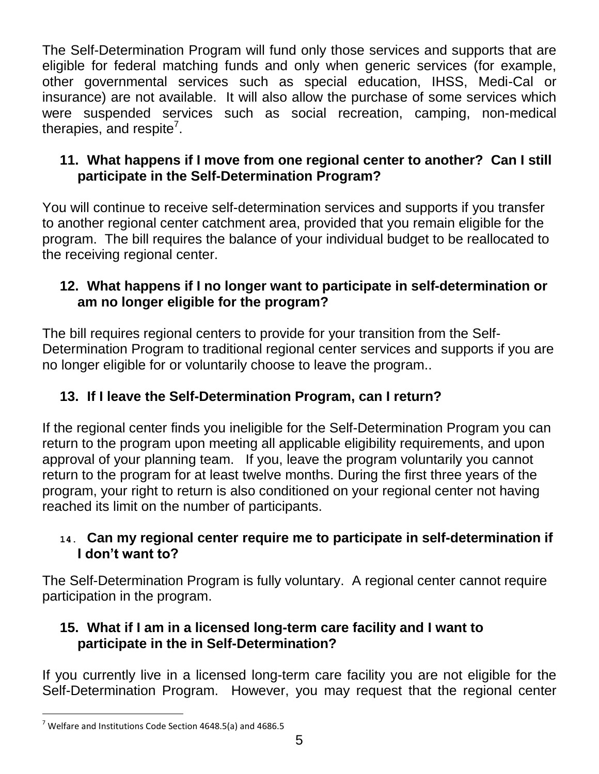The Self-Determination Program will fund only those services and supports that are eligible for federal matching funds and only when generic services (for example, other governmental services such as special education, IHSS, Medi-Cal or insurance) are not available. It will also allow the purchase of some services which were suspended services such as social recreation, camping, non-medical therapies, and respite<sup>7</sup>.

# **11. What happens if I move from one regional center to another? Can I still participate in the Self-Determination Program?**

You will continue to receive self-determination services and supports if you transfer to another regional center catchment area, provided that you remain eligible for the program. The bill requires the balance of your individual budget to be reallocated to the receiving regional center.

# **12. What happens if I no longer want to participate in self-determination or am no longer eligible for the program?**

The bill requires regional centers to provide for your transition from the Self-Determination Program to traditional regional center services and supports if you are no longer eligible for or voluntarily choose to leave the program..

# **13. If I leave the Self-Determination Program, can I return?**

If the regional center finds you ineligible for the Self-Determination Program you can return to the program upon meeting all applicable eligibility requirements, and upon approval of your planning team. If you, leave the program voluntarily you cannot return to the program for at least twelve months. During the first three years of the program, your right to return is also conditioned on your regional center not having reached its limit on the number of participants.

# **14. Can my regional center require me to participate in self-determination if I don't want to?**

The Self-Determination Program is fully voluntary. A regional center cannot require participation in the program.

# **15. What if I am in a licensed long-term care facility and I want to participate in the in Self-Determination?**

If you currently live in a licensed long-term care facility you are not eligible for the Self-Determination Program. However, you may request that the regional center

l  $7$  Welfare and Institutions Code Section 4648.5(a) and 4686.5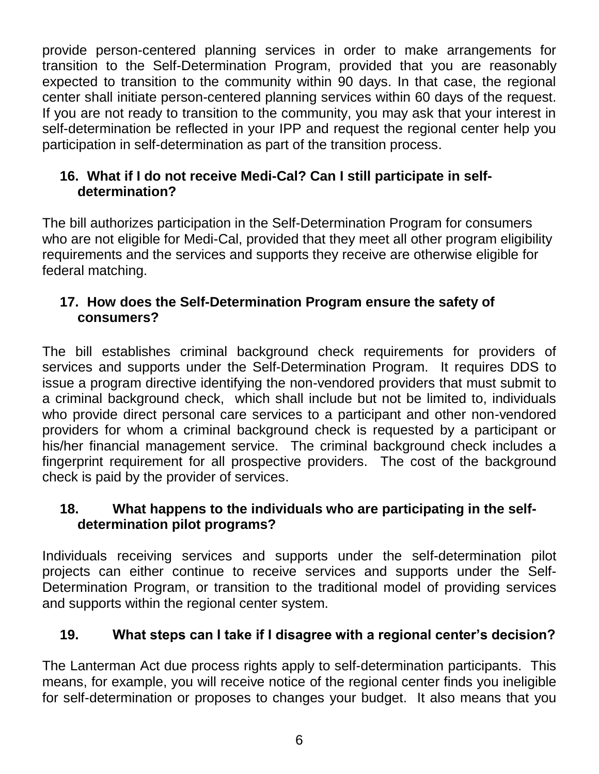provide person-centered planning services in order to make arrangements for transition to the Self-Determination Program, provided that you are reasonably expected to transition to the community within 90 days. In that case, the regional center shall initiate person-centered planning services within 60 days of the request. If you are not ready to transition to the community, you may ask that your interest in self-determination be reflected in your IPP and request the regional center help you participation in self-determination as part of the transition process.

# **16. What if I do not receive Medi-Cal? Can I still participate in selfdetermination?**

The bill authorizes participation in the Self-Determination Program for consumers who are not eligible for Medi-Cal, provided that they meet all other program eligibility requirements and the services and supports they receive are otherwise eligible for federal matching.

# **17. How does the Self-Determination Program ensure the safety of consumers?**

The bill establishes criminal background check requirements for providers of services and supports under the Self-Determination Program. It requires DDS to issue a program directive identifying the non-vendored providers that must submit to a criminal background check, which shall include but not be limited to, individuals who provide direct personal care services to a participant and other non-vendored providers for whom a criminal background check is requested by a participant or his/her financial management service. The criminal background check includes a fingerprint requirement for all prospective providers. The cost of the background check is paid by the provider of services.

# **18. What happens to the individuals who are participating in the selfdetermination pilot programs?**

Individuals receiving services and supports under the self-determination pilot projects can either continue to receive services and supports under the Self-Determination Program, or transition to the traditional model of providing services and supports within the regional center system.

# **19. What steps can I take if I disagree with a regional center's decision?**

The Lanterman Act due process rights apply to self-determination participants. This means, for example, you will receive notice of the regional center finds you ineligible for self-determination or proposes to changes your budget. It also means that you